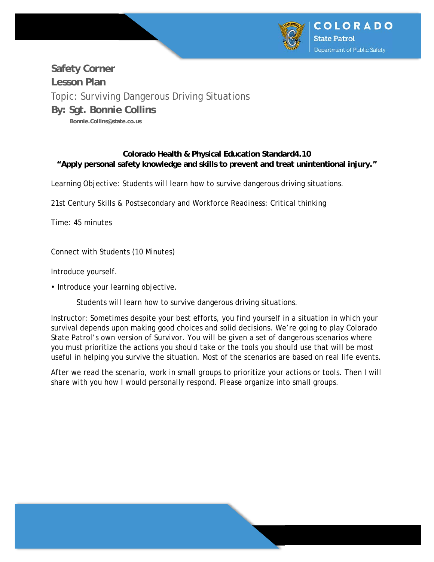

# **Safety Corner Lesson Plan**  Topic: Surviving Dangerous Driving Situations **By: Sgt. Bonnie Collins Bonnie.Collins@state.co.us**

## **Colorado Health & Physical Education Standard4.10 "Apply personal safety knowledge and skills to prevent and treat unintentional injury."**

Learning Objective: Students will learn how to survive dangerous driving situations.

21st Century Skills & Postsecondary and Workforce Readiness: Critical thinking

Time: 45 minutes

Connect with Students (10 Minutes)

Introduce yourself.

• Introduce your learning objective.

Students will learn how to survive dangerous driving situations.

Instructor: Sometimes despite your best efforts, you find yourself in a situation in which your survival depends upon making good choices and solid decisions. We're going to play Colorado State Patrol's own version of Survivor. You will be given a set of dangerous scenarios where you must prioritize the actions you should take or the tools you should use that will be most useful in helping you survive the situation. Most of the scenarios are based on real life events.

After we read the scenario, work in small groups to prioritize your actions or tools. Then I will share with you how I would personally respond. Please organize into small groups.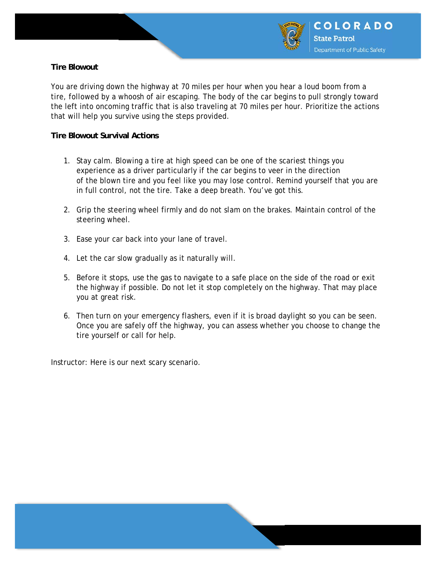

## **Tire Blowout**

You are driving down the highway at 70 miles per hour when you hear a loud boom from a tire, followed by a whoosh of air escaping. The body of the car begins to pull strongly toward the left into oncoming traffic that is also traveling at 70 miles per hour. Prioritize the actions that will help you survive using the steps provided.

### **Tire Blowout Survival Actions**

- 1. Stay calm. Blowing a tire at high speed can be one of the scariest things you experience as a driver particularly if the car begins to veer in the direction of the blown tire and you feel like you may lose control. Remind yourself that you are in full control, not the tire. Take a deep breath. You've got this.
- 2. Grip the steering wheel firmly and do not slam on the brakes. Maintain control of the steering wheel.
- 3. Ease your car back into your lane of travel.
- 4. Let the car slow gradually as it naturally will.
- 5. Before it stops, use the gas to navigate to a safe place on the side of the road or exit the highway if possible. Do not let it stop completely on the highway. That may place you at great risk.
- 6. Then turn on your emergency flashers, even if it is broad daylight so you can be seen. Once you are safely off the highway, you can assess whether you choose to change the tire yourself or call for help.

Instructor: Here is our next scary scenario.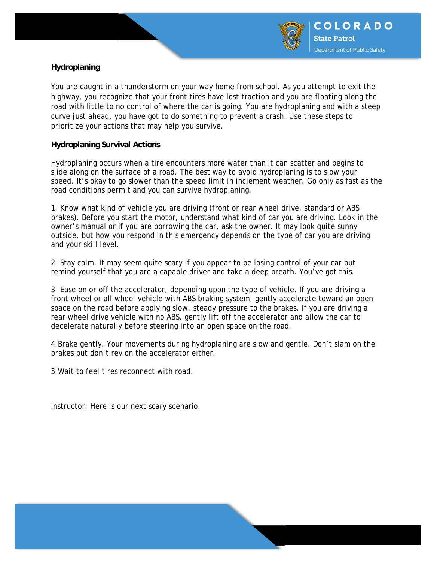

# **Hydroplaning**

You are caught in a thunderstorm on your way home from school. As you attempt to exit the highway, you recognize that your front tires have lost traction and you are floating along the road with little to no control of where the car is going. You are hydroplaning and with a steep curve just ahead, you have got to do something to prevent a crash. Use these steps to prioritize your actions that may help you survive.

### **Hydroplaning Survival Actions**

Hydroplaning occurs when a tire encounters more water than it can scatter and begins to slide along on the surface of a road. The best way to avoid hydroplaning is to slow your speed. It's okay to go slower than the speed limit in inclement weather. Go only as fast as the road conditions permit and you can survive hydroplaning.

1. Know what kind of vehicle you are driving (front or rear wheel drive, standard or ABS brakes). Before you start the motor, understand what kind of car you are driving. Look in the owner's manual or if you are borrowing the car, ask the owner. It may look quite sunny outside, but how you respond in this emergency depends on the type of car you are driving and your skill level.

2. Stay calm. It may seem quite scary if you appear to be losing control of your car but remind yourself that you are a capable driver and take a deep breath. You've got this.

3. Ease on or off the accelerator, depending upon the type of vehicle. If you are driving a front wheel or all wheel vehicle with ABS braking system, gently accelerate toward an open space on the road before applying slow, steady pressure to the brakes. If you are driving a rear wheel drive vehicle with no ABS, gently lift off the accelerator and allow the car to decelerate naturally before steering into an open space on the road.

4.Brake gently. Your movements during hydroplaning are slow and gentle. Don't slam on the brakes but don't rev on the accelerator either.

5.Wait to feel tires reconnect with road.

Instructor: Here is our next scary scenario.